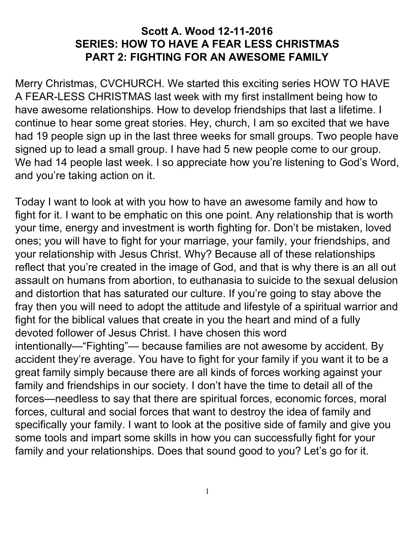#### **Scott A. Wood 12-11-2016 SERIES: HOW TO HAVE A FEAR LESS CHRISTMAS PART 2: FIGHTING FOR AN AWESOME FAMILY**

Merry Christmas, CVCHURCH. We started this exciting series HOW TO HAVE A FEAR-LESS CHRISTMAS last week with my first installment being how to have awesome relationships. How to develop friendships that last a lifetime. I continue to hear some great stories. Hey, church, I am so excited that we have had 19 people sign up in the last three weeks for small groups. Two people have signed up to lead a small group. I have had 5 new people come to our group. We had 14 people last week. I so appreciate how you're listening to God's Word, and you're taking action on it.

Today I want to look at with you how to have an awesome family and how to fight for it. I want to be emphatic on this one point. Any relationship that is worth your time, energy and investment is worth fighting for. Don't be mistaken, loved ones; you will have to fight for your marriage, your family, your friendships, and your relationship with Jesus Christ. Why? Because all of these relationships reflect that you're created in the image of God, and that is why there is an all out assault on humans from abortion, to euthanasia to suicide to the sexual delusion and distortion that has saturated our culture. If you're going to stay above the fray then you will need to adopt the attitude and lifestyle of a spiritual warrior and fight for the biblical values that create in you the heart and mind of a fully devoted follower of Jesus Christ. I have chosen this word intentionally—"Fighting"— because families are not awesome by accident. By accident they're average. You have to fight for your family if you want it to be a great family simply because there are all kinds of forces working against your family and friendships in our society. I don't have the time to detail all of the forces—needless to say that there are spiritual forces, economic forces, moral forces, cultural and social forces that want to destroy the idea of family and specifically your family. I want to look at the positive side of family and give you some tools and impart some skills in how you can successfully fight for your family and your relationships. Does that sound good to you? Let's go for it.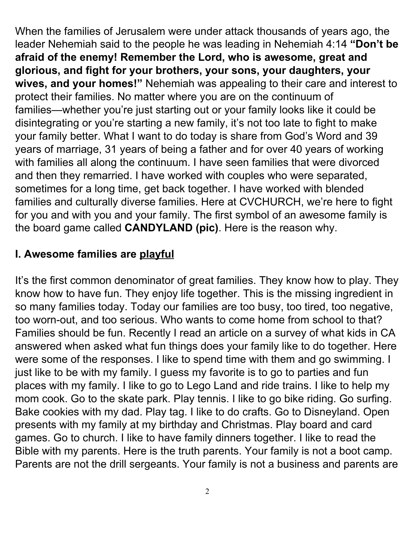When the families of Jerusalem were under attack thousands of years ago, the leader Nehemiah said to the people he was leading in Nehemiah 4:14 **"Don't be afraid of the enemy! Remember the Lord, who is awesome, great and glorious, and fight for your brothers, your sons, your daughters, your wives, and your homes!"** Nehemiah was appealing to their care and interest to protect their families. No matter where you are on the continuum of families—whether you're just starting out or your family looks like it could be disintegrating or you're starting a new family, it's not too late to fight to make your family better. What I want to do today is share from God's Word and 39 years of marriage, 31 years of being a father and for over 40 years of working with families all along the continuum. I have seen families that were divorced and then they remarried. I have worked with couples who were separated, sometimes for a long time, get back together. I have worked with blended families and culturally diverse families. Here at CVCHURCH, we're here to fight for you and with you and your family. The first symbol of an awesome family is the board game called **CANDYLAND (pic)**. Here is the reason why.

#### **I. Awesome families are playful**

It's the first common denominator of great families. They know how to play. They know how to have fun. They enjoy life together. This is the missing ingredient in so many families today. Today our families are too busy, too tired, too negative, too worn-out, and too serious. Who wants to come home from school to that? Families should be fun. Recently I read an article on a survey of what kids in CA answered when asked what fun things does your family like to do together. Here were some of the responses. I like to spend time with them and go swimming. I just like to be with my family. I guess my favorite is to go to parties and fun places with my family. I like to go to Lego Land and ride trains. I like to help my mom cook. Go to the skate park. Play tennis. I like to go bike riding. Go surfing. Bake cookies with my dad. Play tag. I like to do crafts. Go to Disneyland. Open presents with my family at my birthday and Christmas. Play board and card games. Go to church. I like to have family dinners together. I like to read the Bible with my parents. Here is the truth parents. Your family is not a boot camp. Parents are not the drill sergeants. Your family is not a business and parents are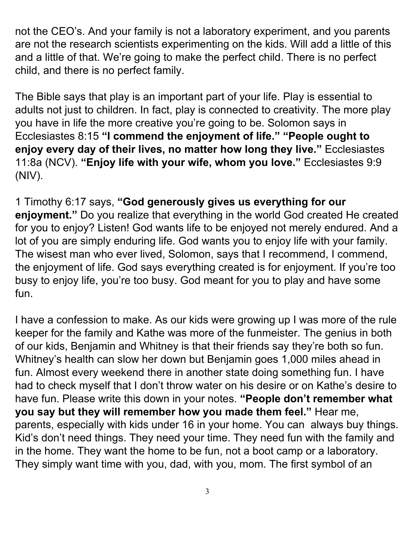not the CEO's. And your family is not a laboratory experiment, and you parents are not the research scientists experimenting on the kids. Will add a little of this and a little of that. We're going to make the perfect child. There is no perfect child, and there is no perfect family.

The Bible says that play is an important part of your life. Play is essential to adults not just to children. In fact, play is connected to creativity. The more play you have in life the more creative you're going to be. Solomon says in Ecclesiastes 8:15 **"I commend the enjoyment of life." "People ought to enjoy every day of their lives, no matter how long they live."** Ecclesiastes 11:8a (NCV). **"Enjoy life with your wife, whom you love."** E cclesiastes 9:9 (NIV).

1 Timothy 6:17 says, **"God generously gives us everything for our enjoyment."** Do you realize that everything in the world God created He created for you to enjoy? Listen! God wants life to be enjoyed not merely endured. And a lot of you are simply enduring life. God wants you to enjoy life with your family. The wisest man who ever lived, Solomon, says that I recommend, I commend, the enjoyment of life. God says everything created is for enjoyment. If you're too busy to enjoy life, you're too busy. God meant for you to play and have some fun.

I have a confession to make. As our kids were growing up I was more of the rule keeper for the family and Kathe was more of the funmeister. The genius in both of our kids, Benjamin and Whitney is that their friends say they're both so fun. Whitney's health can slow her down but Benjamin goes 1,000 miles ahead in fun. Almost every weekend there in another state doing something fun. I have had to check myself that I don't throw water on his desire or on Kathe's desire to have fun. Please write this down in your notes. **"People don't remember what you say but they will remember how you made them feel."** Hear me, parents, especially with kids under 16 in your home. You can always buy things. Kid's don't need things. They need your time. They need fun with the family and in the home. They want the home to be fun, not a boot camp or a laboratory. They simply want time with you, dad, with you, mom. The first symbol of an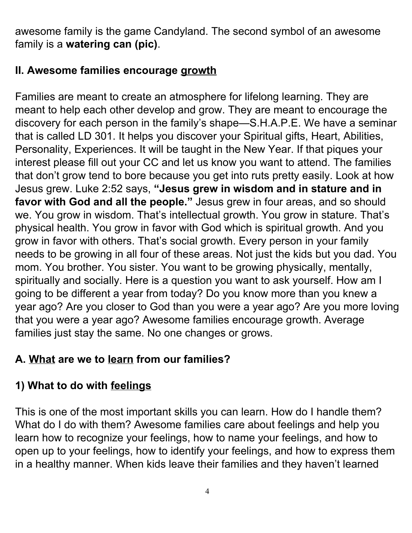awesome family is the game Candyland. The second symbol of an awesome family is a **watering can (pic)**.

#### **II. Awesome families encourage growth**

Families are meant to create an atmosphere for lifelong learning. They are meant to help each other develop and grow. They are meant to encourage the discovery for each person in the family's shape—S.H.A.P.E. We have a seminar that is called LD 301. It helps you discover your Spiritual gifts, Heart, Abilities, Personality, Experiences. It will be taught in the New Year. If that piques your interest please fill out your CC and let us know you want to attend. The families that don't grow tend to bore because you get into ruts pretty easily. Look at how Jesus grew. Luke 2:52 says, **"Jesus grew in wisdom and in stature and in favor with God and all the people."** Jesus grew in four areas, and so should we. You grow in wisdom. That's intellectual growth. You grow in stature. That's physical health. You grow in favor with God which is spiritual growth. And you grow in favor with others. That's social growth. Every person in your family needs to be growing in all four of these areas. Not just the kids but you dad. You mom. You brother. You sister. You want to be growing physically, mentally, spiritually and socially. Here is a question you want to ask yourself. How am I going to be different a year from today? Do you know more than you knew a year ago? Are you closer to God than you were a year ago? Are you more loving that you were a year ago? Awesome families encourage growth. Average families just stay the same. No one changes or grows.

# **A. What are we to learn from our families?**

# **1) What to do with feelings**

This is one of the most important skills you can learn. How do I handle them? What do I do with them? Awesome families care about feelings and help you learn how to recognize your feelings, how to name your feelings, and how to open up to your feelings, how to identify your feelings, and how to express them in a healthy manner. When kids leave their families and they haven't learned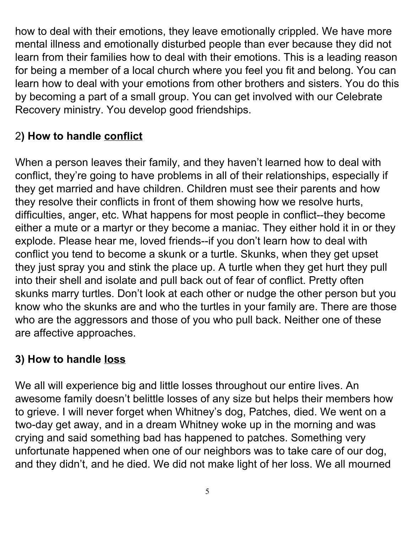how to deal with their emotions, they leave emotionally crippled. We have more mental illness and emotionally disturbed people than ever because they did not learn from their families how to deal with their emotions. This is a leading reason for being a member of a local church where you feel you fit and belong. You can learn how to deal with your emotions from other brothers and sisters. You do this by becoming a part of a small group. You can get involved with our Celebrate Recovery ministry. You develop good friendships.

### 2**) How to handle conflict**

When a person leaves their family, and they haven't learned how to deal with conflict, they're going to have problems in all of their relationships, especially if they get married and have children. Children must see their parents and how they resolve their conflicts in front of them showing how we resolve hurts, difficulties, anger, etc. What happens for most people in conflict--they become either a mute or a martyr or they become a maniac. They either hold it in or they explode. Please hear me, loved friends--if you don't learn how to deal with conflict you tend to become a skunk or a turtle. Skunks, when they get upset they just spray you and stink the place up. A turtle when they get hurt they pull into their shell and isolate and pull back out of fear of conflict. Pretty often skunks marry turtles. Don't look at each other or nudge the other person but you know who the skunks are and who the turtles in your family are. There are those who are the aggressors and those of you who pull back. Neither one of these are affective approaches.

## **3) How to handle loss**

We all will experience big and little losses throughout our entire lives. An awesome family doesn't belittle losses of any size but helps their members how to grieve. I will never forget when Whitney's dog, Patches, died. We went on a two-day get away, and in a dream Whitney woke up in the morning and was crying and said something bad has happened to patches. Something very unfortunate happened when one of our neighbors was to take care of our dog, and they didn't, and he died. We did not make light of her loss. We all mourned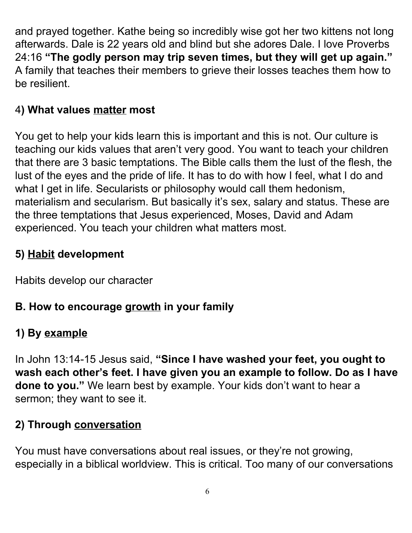and prayed together. Kathe being so incredibly wise got her two kittens not long afterwards. Dale is 22 years old and blind but she adores Dale. I love Proverbs 24:16 **"The godly person may trip seven times, but they will get up again."** A family that teaches their members to grieve their losses teaches them how to be resilient.

### 4**) What values matter most**

You get to help your kids learn this is important and this is not. Our culture is teaching our kids values that aren't very good. You want to teach your children that there are 3 basic temptations. The Bible calls them the lust of the flesh, the lust of the eyes and the pride of life. It has to do with how I feel, what I do and what I get in life. Secularists or philosophy would call them hedonism, materialism and secularism. But basically it's sex, salary and status. These are the three temptations that Jesus experienced, Moses, David and Adam experienced. You teach your children what matters most.

### **5) Habit development**

Habits develop our character

#### **B. How to encourage growth in your family**

## **1) By example**

In John 13:14-15 Jesus said, **"Since I have washed your feet, you ought to wash each other's feet. I have given you an example to follow. Do as I have done to you."** We learn best by example. Your kids don't want to hear a sermon; they want to see it.

#### **2) Through conversation**

You must have conversations about real issues, or they're not growing, especially in a biblical worldview. This is critical. Too many of our conversations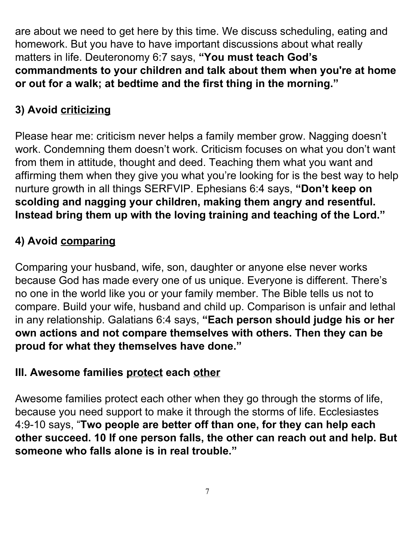are about we need to get here by this time. We discuss scheduling, eating and homework. But you have to have important discussions about what really matters in life. Deuteronomy 6:7 says, **"You must teach God's commandments to your children and talk about them when you're at home or out for a walk; at bedtime and the first thing in the morning."**

# **3) Avoid criticizing**

Please hear me: criticism never helps a family member grow. Nagging doesn't work. Condemning them doesn't work. Criticism focuses on what you don't want from them in attitude, thought and deed. Teaching them what you want and affirming them when they give you what you're looking for is the best way to help nurture growth in all things SERFVIP. Ephesians 6:4 says, **"Don't keep on scolding and nagging your children, making them angry and resentful. Instead bring them up with the loving training and teaching of the Lord."**

# **4) Avoid comparing**

Comparing your husband, wife, son, daughter or anyone else never works because God has made every one of us unique. Everyone is different. There's no one in the world like you or your family member. The Bible tells us not to compare. Build your wife, husband and child up. Comparison is unfair and lethal in any relationship. Galatians 6:4 says, **"Each person should judge his or her own actions and not compare themselves with others. Then they can be proud for what they themselves have done."**

## **III. Awesome families protect each other**

Awesome families protect each other when they go through the storms of life, because you need support to make it through the storms of life. Ecclesiastes 4:9-10 says, "**Two people are better off than one, for they can help each other succeed. 10 If one person falls, the other can reach out and help. But someone who falls alone is in real trouble."**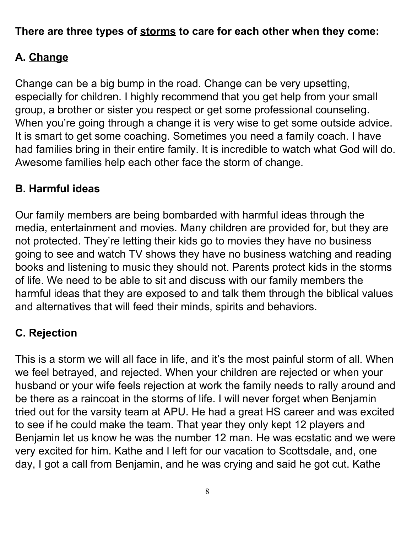#### **There are three types of storms to care for each other when they come:**

## **A. Change**

Change can be a big bump in the road. Change can be very upsetting, especially for children. I highly recommend that you get help from your small group, a brother or sister you respect or get some professional counseling. When you're going through a change it is very wise to get some outside advice. It is smart to get some coaching. Sometimes you need a family coach. I have had families bring in their entire family. It is incredible to watch what God will do. Awesome families help each other face the storm of change.

#### **B. Harmful ideas**

Our family members are being bombarded with harmful ideas through the media, entertainment and movies. Many children are provided for, but they are not protected. They're letting their kids go to movies they have no business going to see and watch TV shows they have no business watching and reading books and listening to music they should not. Parents protect kids in the storms of life. We need to be able to sit and discuss with our family members the harmful ideas that they are exposed to and talk them through the biblical values and alternatives that will feed their minds, spirits and behaviors.

## **C. Rejection**

This is a storm we will all face in life, and it's the most painful storm of all. When we feel betrayed, and rejected. When your children are rejected or when your husband or your wife feels rejection at work the family needs to rally around and be there as a raincoat in the storms of life. I will never forget when Benjamin tried out for the varsity team at APU. He had a great HS career and was excited to see if he could make the team. That year they only kept 12 players and Benjamin let us know he was the number 12 man. He was ecstatic and we were very excited for him. Kathe and I left for our vacation to Scottsdale, and, one day, I got a call from Benjamin, and he was crying and said he got cut. Kathe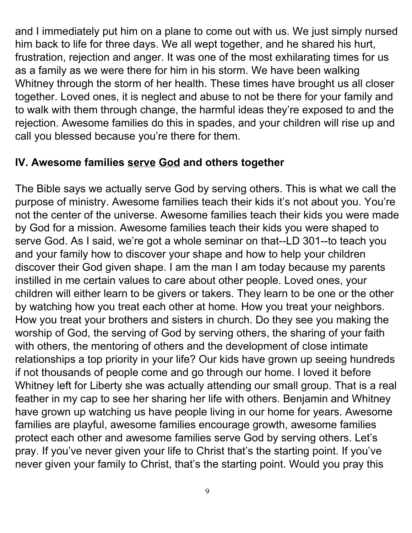and I immediately put him on a plane to come out with us. We just simply nursed him back to life for three days. We all wept together, and he shared his hurt, frustration, rejection and anger. It was one of the most exhilarating times for us as a family as we were there for him in his storm. We have been walking Whitney through the storm of her health. These times have brought us all closer together. Loved ones, it is neglect and abuse to not be there for your family and to walk with them through change, the harmful ideas they're exposed to and the rejection. Awesome families do this in spades, and your children will rise up and call you blessed because you're there for them.

#### **IV. Awesome families serve God and others together**

The Bible says we actually serve God by serving others. This is what we call the purpose of ministry. Awesome families teach their kids it's not about you. You're not the center of the universe. Awesome families teach their kids you were made by God for a mission. Awesome families teach their kids you were shaped to serve God. As I said, we're got a whole seminar on that--LD 301--to teach you and your family how to discover your shape and how to help your children discover their God given shape. I am the man I am today because my parents instilled in me certain values to care about other people. Loved ones, your children will either learn to be givers or takers. They learn to be one or the other by watching how you treat each other at home. How you treat your neighbors. How you treat your brothers and sisters in church. Do they see you making the worship of God, the serving of God by serving others, the sharing of your faith with others, the mentoring of others and the development of close intimate relationships a top priority in your life? Our kids have grown up seeing hundreds if not thousands of people come and go through our home. I loved it before Whitney left for Liberty she was actually attending our small group. That is a real feather in my cap to see her sharing her life with others. Benjamin and Whitney have grown up watching us have people living in our home for years. Awesome families are playful, awesome families encourage growth, awesome families protect each other and awesome families serve God by serving others. Let's pray. If you've never given your life to Christ that's the starting point. If you've never given your family to Christ, that's the starting point. Would you pray this